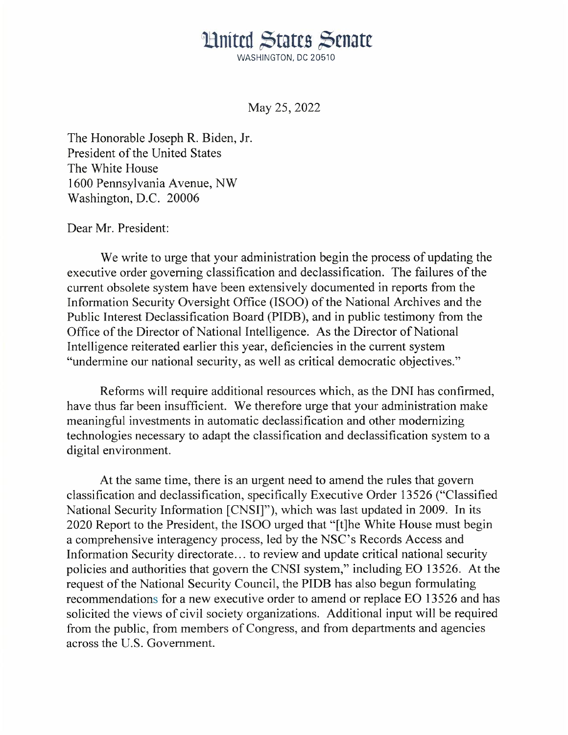## United States Senate

WASHINGTON, DC 20510

May 25, 2022

The Honorable Joseph R. Biden, Jr. President of the United States The White House 1600 Pennsylvania Avenue, NW Washington, D.C. 20006

## Dear Mr. President:

We write to urge that your administration begin the process of updating the executive order governing classification and declassification. The failures of the current obsolete system have been extensively documented in reports from the Information Security Oversight Office (ISOO) of the National Archives and the Public Interest Declassification Board (PIDB), and in public testimony from the Office of the Director of National Intelligence. As the Director of National Intelligence reiterated earlier this year, deficiencies in the current system "undermine our national security, as well as critical democratic objectives."

Reforms will require additional resources which, as the DNI has confirmed, have thus far been insufficient. We therefore urge that your administration make meaningful investments in automatic declassification and other modernizing technologies necessary to adapt the classification and declassification system to a digital environment.

At the same time, there is an urgent need to amend the rules that govern classification and declassification, specifically Executive Order 13526 ("Classified National Security Information [CNSI]"), which was last updated in 2009. In its 2020 Report to the President, the ISOO urged that "[t]he White House must begin a comprehensive interagency process, led by the NSC's Records Access and Information Security directorate ... to review and update critical national security policies and authorities that govern the CNSI system," including EO 13526. At the request of the National Security Council, the PIDB has also begun formulating recommendations for a new executive order to amend or replace EO 13526 and has solicited the views of civil society organizations. Additional input will be required from the public, from members of Congress, and from departments and agencies across the U.S. Government.